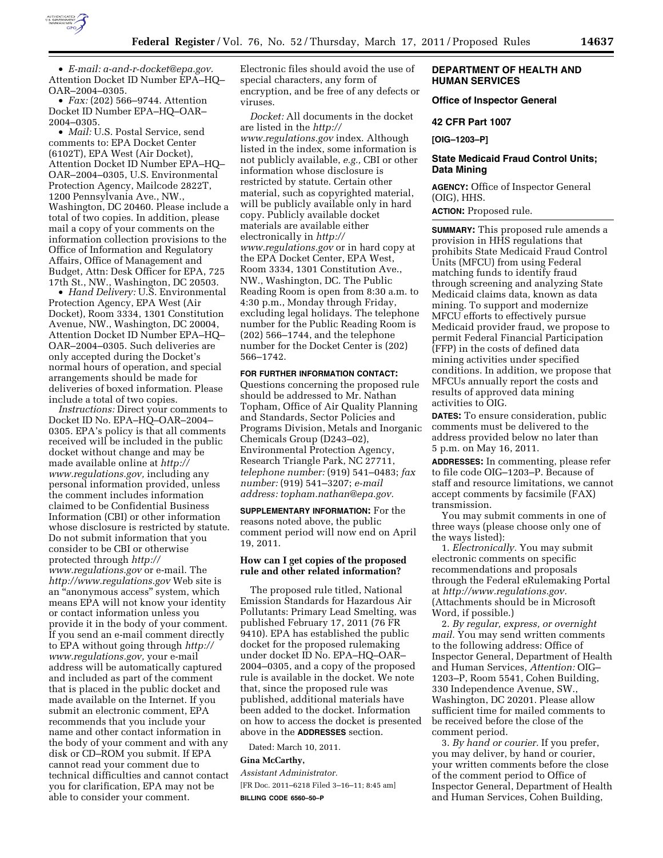

• *E-mail: [a-and-r-docket@epa.gov.](mailto:a-and-r-docket@epa.gov)*  Attention Docket ID Number EPA–HQ– OAR–2004–0305.

• *Fax:* (202) 566–9744. Attention Docket ID Number EPA–HQ–OAR– 2004–0305.

• *Mail:* U.S. Postal Service, send comments to: EPA Docket Center (6102T), EPA West (Air Docket), Attention Docket ID Number EPA–HQ– OAR–2004–0305, U.S. Environmental Protection Agency, Mailcode 2822T, 1200 Pennsylvania Ave., NW., Washington, DC 20460. Please include a total of two copies. In addition, please mail a copy of your comments on the information collection provisions to the Office of Information and Regulatory Affairs, Office of Management and Budget, Attn: Desk Officer for EPA, 725 17th St., NW., Washington, DC 20503.

• *Hand Delivery:* U.S. Environmental Protection Agency, EPA West (Air Docket), Room 3334, 1301 Constitution Avenue, NW., Washington, DC 20004, Attention Docket ID Number EPA–HQ– OAR–2004–0305. Such deliveries are only accepted during the Docket's normal hours of operation, and special arrangements should be made for deliveries of boxed information. Please include a total of two copies.

*Instructions:* Direct your comments to Docket ID No. EPA–HQ–OAR–2004– 0305. EPA's policy is that all comments received will be included in the public docket without change and may be made available online at *[http://](http://www.regulations.gov)  [www.regulations.gov,](http://www.regulations.gov)* including any personal information provided, unless the comment includes information claimed to be Confidential Business Information (CBI) or other information whose disclosure is restricted by statute. Do not submit information that you consider to be CBI or otherwise protected through *[http://](http://www.regulations.gov)  [www.regulations.gov](http://www.regulations.gov)* or e-mail. The *<http://www.regulations.gov>* Web site is an ''anonymous access'' system, which means EPA will not know your identity or contact information unless you provide it in the body of your comment. If you send an e-mail comment directly to EPA without going through *[http://](http://www.regulations.gov) [www.regulations.gov,](http://www.regulations.gov)* your e-mail address will be automatically captured and included as part of the comment that is placed in the public docket and made available on the Internet. If you submit an electronic comment, EPA recommends that you include your name and other contact information in the body of your comment and with any disk or CD–ROM you submit. If EPA cannot read your comment due to technical difficulties and cannot contact you for clarification, EPA may not be able to consider your comment.

Electronic files should avoid the use of special characters, any form of encryption, and be free of any defects or viruses.

*Docket:* All documents in the docket are listed in the *[http://](http://www.regulations.gov) [www.regulations.gov](http://www.regulations.gov)* index. Although listed in the index, some information is not publicly available, *e.g.,* CBI or other information whose disclosure is restricted by statute. Certain other material, such as copyrighted material, will be publicly available only in hard copy. Publicly available docket materials are available either electronically in *[http://](http://www.regulations.gov) [www.regulations.gov](http://www.regulations.gov)* or in hard copy at the EPA Docket Center, EPA West, Room 3334, 1301 Constitution Ave., NW., Washington, DC. The Public Reading Room is open from 8:30 a.m. to 4:30 p.m., Monday through Friday, excluding legal holidays. The telephone number for the Public Reading Room is (202) 566–1744, and the telephone number for the Docket Center is (202) 566–1742.

**FOR FURTHER INFORMATION CONTACT:**  Questions concerning the proposed rule should be addressed to Mr. Nathan Topham, Office of Air Quality Planning and Standards, Sector Policies and Programs Division, Metals and Inorganic Chemicals Group (D243–02), Environmental Protection Agency, Research Triangle Park, NC 27711, *telephone number:* (919) 541–0483; *fax number:* (919) 541–3207; *e-mail address: [topham.nathan@epa.gov.](mailto:topham.nathan@epa.gov)* 

**SUPPLEMENTARY INFORMATION:** For the reasons noted above, the public comment period will now end on April 19, 2011.

### **How can I get copies of the proposed rule and other related information?**

The proposed rule titled, National Emission Standards for Hazardous Air Pollutants: Primary Lead Smelting, was published February 17, 2011 (76 FR 9410). EPA has established the public docket for the proposed rulemaking under docket ID No. EPA–HQ–OAR– 2004–0305, and a copy of the proposed rule is available in the docket. We note that, since the proposed rule was published, additional materials have been added to the docket. Information on how to access the docket is presented above in the **ADDRESSES** section.

Dated: March 10, 2011.

#### **Gina McCarthy,**

*Assistant Administrator.*  [FR Doc. 2011–6218 Filed 3–16–11; 8:45 am] **BILLING CODE 6560–50–P** 

### **DEPARTMENT OF HEALTH AND HUMAN SERVICES**

### **Office of Inspector General**

#### **42 CFR Part 1007**

**[OIG–1203–P]** 

#### **State Medicaid Fraud Control Units; Data Mining**

**AGENCY:** Office of Inspector General (OIG), HHS.

**ACTION:** Proposed rule.

**SUMMARY:** This proposed rule amends a provision in HHS regulations that prohibits State Medicaid Fraud Control Units (MFCU) from using Federal matching funds to identify fraud through screening and analyzing State Medicaid claims data, known as data mining. To support and modernize MFCU efforts to effectively pursue Medicaid provider fraud, we propose to permit Federal Financial Participation (FFP) in the costs of defined data mining activities under specified conditions. In addition, we propose that MFCUs annually report the costs and results of approved data mining activities to OIG.

**DATES:** To ensure consideration, public comments must be delivered to the address provided below no later than 5 p.m. on May 16, 2011.

**ADDRESSES:** In commenting, please refer to file code OIG–1203–P. Because of staff and resource limitations, we cannot accept comments by facsimile (FAX) transmission.

You may submit comments in one of three ways (please choose only one of the ways listed):

1. *Electronically.* You may submit electronic comments on specific recommendations and proposals through the Federal eRulemaking Portal at *[http://www.regulations.gov.](http://www.regulations.gov)*  (Attachments should be in Microsoft Word, if possible.)

2. *By regular, express, or overnight mail.* You may send written comments to the following address: Office of Inspector General, Department of Health and Human Services, *Attention:* OIG– 1203–P, Room 5541, Cohen Building, 330 Independence Avenue, SW., Washington, DC 20201. Please allow sufficient time for mailed comments to be received before the close of the comment period.

3. *By hand or courier.* If you prefer, you may deliver, by hand or courier, your written comments before the close of the comment period to Office of Inspector General, Department of Health and Human Services, Cohen Building,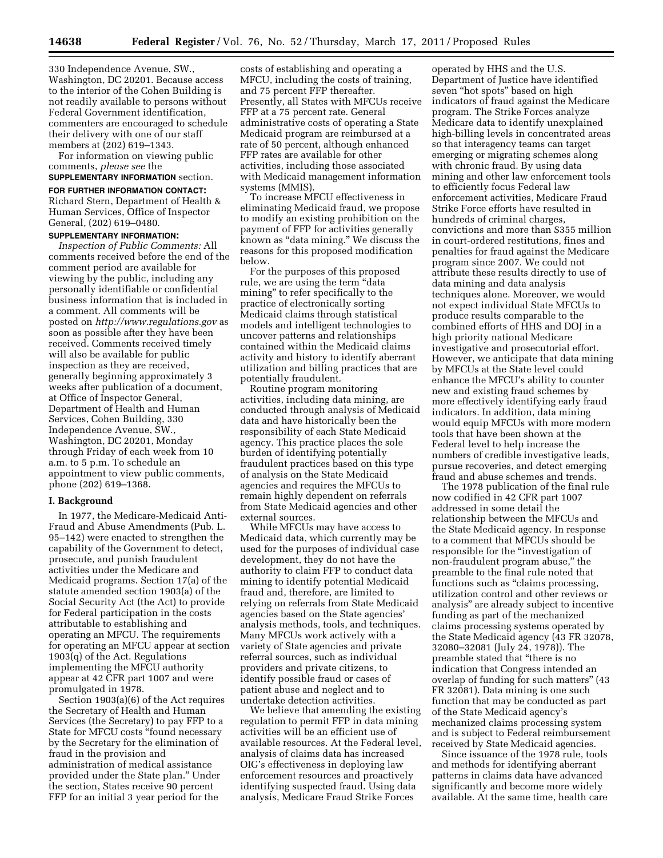330 Independence Avenue, SW., Washington, DC 20201. Because access to the interior of the Cohen Building is not readily available to persons without Federal Government identification, commenters are encouraged to schedule their delivery with one of our staff members at (202) 619–1343.

For information on viewing public comments, *please see* the

# **SUPPLEMENTARY INFORMATION** section.

**FOR FURTHER INFORMATION CONTACT:** 

Richard Stern, Department of Health & Human Services, Office of Inspector General, (202) 619–0480.

#### **SUPPLEMENTARY INFORMATION:**

*Inspection of Public Comments:* All comments received before the end of the comment period are available for viewing by the public, including any personally identifiable or confidential business information that is included in a comment. All comments will be posted on *<http://www.regulations.gov>* as soon as possible after they have been received. Comments received timely will also be available for public inspection as they are received, generally beginning approximately 3 weeks after publication of a document, at Office of Inspector General, Department of Health and Human Services, Cohen Building, 330 Independence Avenue, SW., Washington, DC 20201, Monday through Friday of each week from 10 a.m. to 5 p.m. To schedule an appointment to view public comments, phone (202) 619–1368.

#### **I. Background**

In 1977, the Medicare-Medicaid Anti-Fraud and Abuse Amendments (Pub. L. 95–142) were enacted to strengthen the capability of the Government to detect, prosecute, and punish fraudulent activities under the Medicare and Medicaid programs. Section 17(a) of the statute amended section 1903(a) of the Social Security Act (the Act) to provide for Federal participation in the costs attributable to establishing and operating an MFCU. The requirements for operating an MFCU appear at section 1903(q) of the Act. Regulations implementing the MFCU authority appear at 42 CFR part 1007 and were promulgated in 1978.

Section 1903(a)(6) of the Act requires the Secretary of Health and Human Services (the Secretary) to pay FFP to a State for MFCU costs ''found necessary by the Secretary for the elimination of fraud in the provision and administration of medical assistance provided under the State plan.'' Under the section, States receive 90 percent FFP for an initial 3 year period for the

costs of establishing and operating a MFCU, including the costs of training, and 75 percent FFP thereafter. Presently, all States with MFCUs receive FFP at a 75 percent rate. General administrative costs of operating a State Medicaid program are reimbursed at a rate of 50 percent, although enhanced FFP rates are available for other activities, including those associated with Medicaid management information systems (MMIS).

To increase MFCU effectiveness in eliminating Medicaid fraud, we propose to modify an existing prohibition on the payment of FFP for activities generally known as ''data mining.'' We discuss the reasons for this proposed modification below.

For the purposes of this proposed rule, we are using the term ''data mining'' to refer specifically to the practice of electronically sorting Medicaid claims through statistical models and intelligent technologies to uncover patterns and relationships contained within the Medicaid claims activity and history to identify aberrant utilization and billing practices that are potentially fraudulent.

Routine program monitoring activities, including data mining, are conducted through analysis of Medicaid data and have historically been the responsibility of each State Medicaid agency. This practice places the sole burden of identifying potentially fraudulent practices based on this type of analysis on the State Medicaid agencies and requires the MFCUs to remain highly dependent on referrals from State Medicaid agencies and other external sources.

While MFCUs may have access to Medicaid data, which currently may be used for the purposes of individual case development, they do not have the authority to claim FFP to conduct data mining to identify potential Medicaid fraud and, therefore, are limited to relying on referrals from State Medicaid agencies based on the State agencies' analysis methods, tools, and techniques. Many MFCUs work actively with a variety of State agencies and private referral sources, such as individual providers and private citizens, to identify possible fraud or cases of patient abuse and neglect and to undertake detection activities.

We believe that amending the existing regulation to permit FFP in data mining activities will be an efficient use of available resources. At the Federal level, analysis of claims data has increased OIG's effectiveness in deploying law enforcement resources and proactively identifying suspected fraud. Using data analysis, Medicare Fraud Strike Forces

operated by HHS and the U.S. Department of Justice have identified seven "hot spots" based on high indicators of fraud against the Medicare program. The Strike Forces analyze Medicare data to identify unexplained high-billing levels in concentrated areas so that interagency teams can target emerging or migrating schemes along with chronic fraud. By using data mining and other law enforcement tools to efficiently focus Federal law enforcement activities, Medicare Fraud Strike Force efforts have resulted in hundreds of criminal charges, convictions and more than \$355 million in court-ordered restitutions, fines and penalties for fraud against the Medicare program since 2007. We could not attribute these results directly to use of data mining and data analysis techniques alone. Moreover, we would not expect individual State MFCUs to produce results comparable to the combined efforts of HHS and DOJ in a high priority national Medicare investigative and prosecutorial effort. However, we anticipate that data mining by MFCUs at the State level could enhance the MFCU's ability to counter new and existing fraud schemes by more effectively identifying early fraud indicators. In addition, data mining would equip MFCUs with more modern tools that have been shown at the Federal level to help increase the numbers of credible investigative leads, pursue recoveries, and detect emerging fraud and abuse schemes and trends.

The 1978 publication of the final rule now codified in 42 CFR part 1007 addressed in some detail the relationship between the MFCUs and the State Medicaid agency. In response to a comment that MFCUs should be responsible for the ''investigation of non-fraudulent program abuse,'' the preamble to the final rule noted that functions such as "claims processing, utilization control and other reviews or analysis'' are already subject to incentive funding as part of the mechanized claims processing systems operated by the State Medicaid agency (43 FR 32078, 32080–32081 (July 24, 1978)). The preamble stated that ''there is no indication that Congress intended an overlap of funding for such matters'' (43 FR 32081). Data mining is one such function that may be conducted as part of the State Medicaid agency's mechanized claims processing system and is subject to Federal reimbursement received by State Medicaid agencies.

Since issuance of the 1978 rule, tools and methods for identifying aberrant patterns in claims data have advanced significantly and become more widely available. At the same time, health care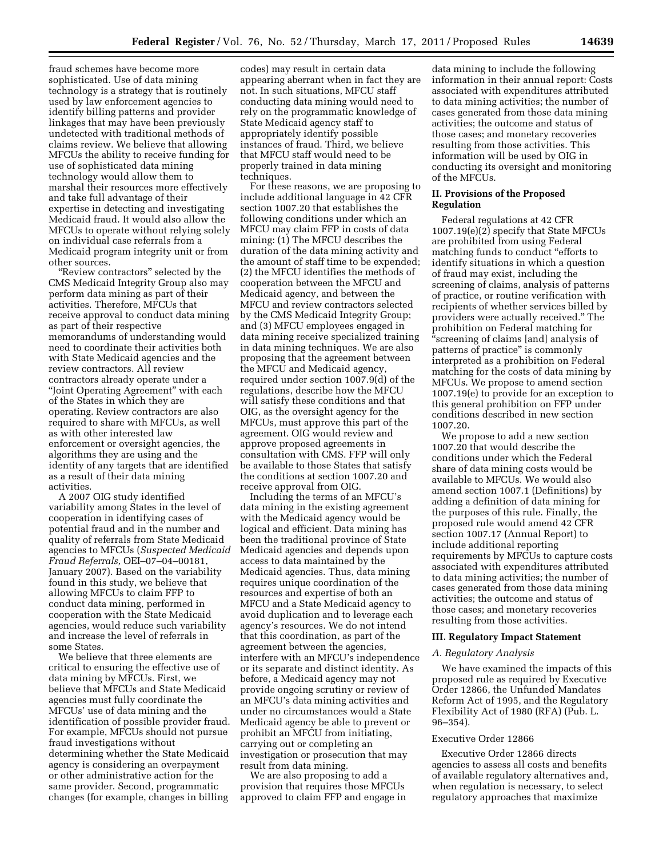fraud schemes have become more sophisticated. Use of data mining technology is a strategy that is routinely used by law enforcement agencies to identify billing patterns and provider linkages that may have been previously undetected with traditional methods of claims review. We believe that allowing MFCUs the ability to receive funding for use of sophisticated data mining technology would allow them to marshal their resources more effectively and take full advantage of their expertise in detecting and investigating Medicaid fraud. It would also allow the MFCUs to operate without relying solely on individual case referrals from a Medicaid program integrity unit or from other sources.

"Review contractors" selected by the CMS Medicaid Integrity Group also may perform data mining as part of their activities. Therefore, MFCUs that receive approval to conduct data mining as part of their respective memorandums of understanding would need to coordinate their activities both with State Medicaid agencies and the review contractors. All review contractors already operate under a ''Joint Operating Agreement'' with each of the States in which they are operating. Review contractors are also required to share with MFCUs, as well as with other interested law enforcement or oversight agencies, the algorithms they are using and the identity of any targets that are identified as a result of their data mining activities.

A 2007 OIG study identified variability among States in the level of cooperation in identifying cases of potential fraud and in the number and quality of referrals from State Medicaid agencies to MFCUs (*Suspected Medicaid Fraud Referrals,* OEI–07–04–00181, January 2007). Based on the variability found in this study, we believe that allowing MFCUs to claim FFP to conduct data mining, performed in cooperation with the State Medicaid agencies, would reduce such variability and increase the level of referrals in some States.

We believe that three elements are critical to ensuring the effective use of data mining by MFCUs. First, we believe that MFCUs and State Medicaid agencies must fully coordinate the MFCUs' use of data mining and the identification of possible provider fraud. For example, MFCUs should not pursue fraud investigations without determining whether the State Medicaid agency is considering an overpayment or other administrative action for the same provider. Second, programmatic changes (for example, changes in billing

codes) may result in certain data appearing aberrant when in fact they are not. In such situations, MFCU staff conducting data mining would need to rely on the programmatic knowledge of State Medicaid agency staff to appropriately identify possible instances of fraud. Third, we believe that MFCU staff would need to be properly trained in data mining techniques.

For these reasons, we are proposing to include additional language in 42 CFR section 1007.20 that establishes the following conditions under which an MFCU may claim FFP in costs of data mining: (1) The MFCU describes the duration of the data mining activity and the amount of staff time to be expended; (2) the MFCU identifies the methods of cooperation between the MFCU and Medicaid agency, and between the MFCU and review contractors selected by the CMS Medicaid Integrity Group; and (3) MFCU employees engaged in data mining receive specialized training in data mining techniques. We are also proposing that the agreement between the MFCU and Medicaid agency, required under section 1007.9(d) of the regulations, describe how the MFCU will satisfy these conditions and that OIG, as the oversight agency for the MFCUs, must approve this part of the agreement. OIG would review and approve proposed agreements in consultation with CMS. FFP will only be available to those States that satisfy the conditions at section 1007.20 and receive approval from OIG.

Including the terms of an MFCU's data mining in the existing agreement with the Medicaid agency would be logical and efficient. Data mining has been the traditional province of State Medicaid agencies and depends upon access to data maintained by the Medicaid agencies. Thus, data mining requires unique coordination of the resources and expertise of both an MFCU and a State Medicaid agency to avoid duplication and to leverage each agency's resources. We do not intend that this coordination, as part of the agreement between the agencies, interfere with an MFCU's independence or its separate and distinct identity. As before, a Medicaid agency may not provide ongoing scrutiny or review of an MFCU's data mining activities and under no circumstances would a State Medicaid agency be able to prevent or prohibit an MFCU from initiating, carrying out or completing an investigation or prosecution that may result from data mining.

We are also proposing to add a provision that requires those MFCUs approved to claim FFP and engage in

data mining to include the following information in their annual report: Costs associated with expenditures attributed to data mining activities; the number of cases generated from those data mining activities; the outcome and status of those cases; and monetary recoveries resulting from those activities. This information will be used by OIG in conducting its oversight and monitoring of the MFCUs.

### **II. Provisions of the Proposed Regulation**

Federal regulations at 42 CFR 1007.19(e)(2) specify that State MFCUs are prohibited from using Federal matching funds to conduct ''efforts to identify situations in which a question of fraud may exist, including the screening of claims, analysis of patterns of practice, or routine verification with recipients of whether services billed by providers were actually received.'' The prohibition on Federal matching for ''screening of claims [and] analysis of patterns of practice'' is commonly interpreted as a prohibition on Federal matching for the costs of data mining by MFCUs. We propose to amend section 1007.19(e) to provide for an exception to this general prohibition on FFP under conditions described in new section 1007.20.

We propose to add a new section 1007.20 that would describe the conditions under which the Federal share of data mining costs would be available to MFCUs. We would also amend section 1007.1 (Definitions) by adding a definition of data mining for the purposes of this rule. Finally, the proposed rule would amend 42 CFR section 1007.17 (Annual Report) to include additional reporting requirements by MFCUs to capture costs associated with expenditures attributed to data mining activities; the number of cases generated from those data mining activities; the outcome and status of those cases; and monetary recoveries resulting from those activities.

#### **III. Regulatory Impact Statement**

#### *A. Regulatory Analysis*

We have examined the impacts of this proposed rule as required by Executive Order 12866, the Unfunded Mandates Reform Act of 1995, and the Regulatory Flexibility Act of 1980 (RFA) (Pub. L. 96–354).

### Executive Order 12866

Executive Order 12866 directs agencies to assess all costs and benefits of available regulatory alternatives and, when regulation is necessary, to select regulatory approaches that maximize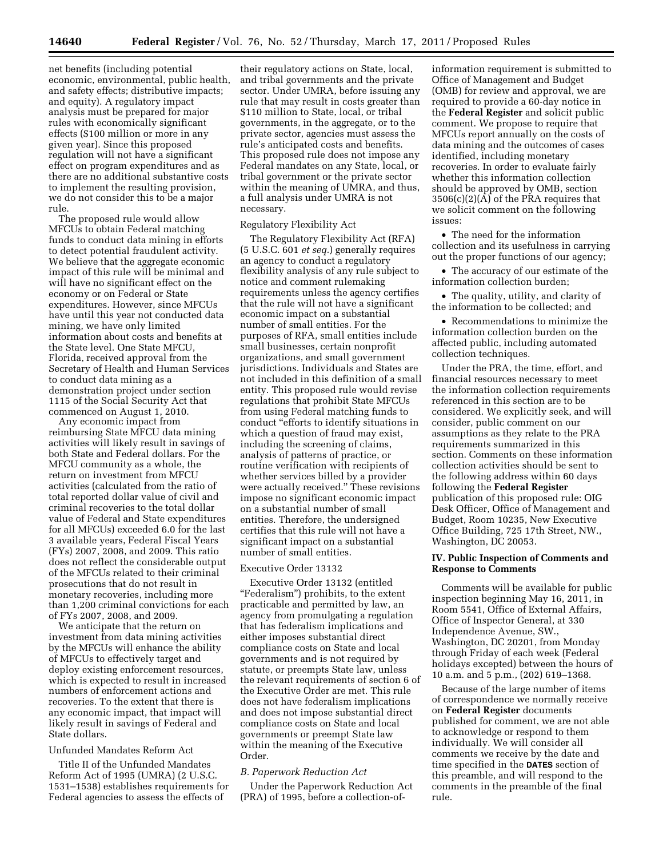net benefits (including potential economic, environmental, public health, and safety effects; distributive impacts; and equity). A regulatory impact analysis must be prepared for major rules with economically significant effects (\$100 million or more in any given year). Since this proposed regulation will not have a significant effect on program expenditures and as there are no additional substantive costs to implement the resulting provision, we do not consider this to be a major rule.

The proposed rule would allow MFCUs to obtain Federal matching funds to conduct data mining in efforts to detect potential fraudulent activity. We believe that the aggregate economic impact of this rule will be minimal and will have no significant effect on the economy or on Federal or State expenditures. However, since MFCUs have until this year not conducted data mining, we have only limited information about costs and benefits at the State level. One State MFCU, Florida, received approval from the Secretary of Health and Human Services to conduct data mining as a demonstration project under section 1115 of the Social Security Act that commenced on August 1, 2010.

Any economic impact from reimbursing State MFCU data mining activities will likely result in savings of both State and Federal dollars. For the MFCU community as a whole, the return on investment from MFCU activities (calculated from the ratio of total reported dollar value of civil and criminal recoveries to the total dollar value of Federal and State expenditures for all MFCUs) exceeded 6.0 for the last 3 available years, Federal Fiscal Years (FYs) 2007, 2008, and 2009. This ratio does not reflect the considerable output of the MFCUs related to their criminal prosecutions that do not result in monetary recoveries, including more than 1,200 criminal convictions for each of FYs 2007, 2008, and 2009.

We anticipate that the return on investment from data mining activities by the MFCUs will enhance the ability of MFCUs to effectively target and deploy existing enforcement resources, which is expected to result in increased numbers of enforcement actions and recoveries. To the extent that there is any economic impact, that impact will likely result in savings of Federal and State dollars.

#### Unfunded Mandates Reform Act

Title II of the Unfunded Mandates Reform Act of 1995 (UMRA) (2 U.S.C. 1531–1538) establishes requirements for Federal agencies to assess the effects of

their regulatory actions on State, local, and tribal governments and the private sector. Under UMRA, before issuing any rule that may result in costs greater than \$110 million to State, local, or tribal governments, in the aggregate, or to the private sector, agencies must assess the rule's anticipated costs and benefits. This proposed rule does not impose any Federal mandates on any State, local, or tribal government or the private sector within the meaning of UMRA, and thus, a full analysis under UMRA is not necessary.

#### Regulatory Flexibility Act

The Regulatory Flexibility Act (RFA) (5 U.S.C. 601 *et seq.*) generally requires an agency to conduct a regulatory flexibility analysis of any rule subject to notice and comment rulemaking requirements unless the agency certifies that the rule will not have a significant economic impact on a substantial number of small entities. For the purposes of RFA, small entities include small businesses, certain nonprofit organizations, and small government jurisdictions. Individuals and States are not included in this definition of a small entity. This proposed rule would revise regulations that prohibit State MFCUs from using Federal matching funds to conduct ''efforts to identify situations in which a question of fraud may exist, including the screening of claims, analysis of patterns of practice, or routine verification with recipients of whether services billed by a provider were actually received.'' These revisions impose no significant economic impact on a substantial number of small entities. Therefore, the undersigned certifies that this rule will not have a significant impact on a substantial number of small entities.

#### Executive Order 13132

Executive Order 13132 (entitled "Federalism") prohibits, to the extent practicable and permitted by law, an agency from promulgating a regulation that has federalism implications and either imposes substantial direct compliance costs on State and local governments and is not required by statute, or preempts State law, unless the relevant requirements of section 6 of the Executive Order are met. This rule does not have federalism implications and does not impose substantial direct compliance costs on State and local governments or preempt State law within the meaning of the Executive Order.

#### *B. Paperwork Reduction Act*

Under the Paperwork Reduction Act (PRA) of 1995, before a collection-of-

information requirement is submitted to Office of Management and Budget (OMB) for review and approval, we are required to provide a 60-day notice in the **Federal Register** and solicit public comment. We propose to require that MFCUs report annually on the costs of data mining and the outcomes of cases identified, including monetary recoveries. In order to evaluate fairly whether this information collection should be approved by OMB, section 3506(c)(2)(A) of the PRA requires that we solicit comment on the following issues:

• The need for the information collection and its usefulness in carrying out the proper functions of our agency;

• The accuracy of our estimate of the information collection burden;

• The quality, utility, and clarity of the information to be collected; and

• Recommendations to minimize the information collection burden on the affected public, including automated collection techniques.

Under the PRA, the time, effort, and financial resources necessary to meet the information collection requirements referenced in this section are to be considered. We explicitly seek, and will consider, public comment on our assumptions as they relate to the PRA requirements summarized in this section. Comments on these information collection activities should be sent to the following address within 60 days following the **Federal Register**  publication of this proposed rule: OIG Desk Officer, Office of Management and Budget, Room 10235, New Executive Office Building, 725 17th Street, NW., Washington, DC 20053.

### **IV. Public Inspection of Comments and Response to Comments**

Comments will be available for public inspection beginning May 16, 2011, in Room 5541, Office of External Affairs, Office of Inspector General, at 330 Independence Avenue, SW., Washington, DC 20201, from Monday through Friday of each week (Federal holidays excepted) between the hours of 10 a.m. and 5 p.m., (202) 619–1368.

Because of the large number of items of correspondence we normally receive on **Federal Register** documents published for comment, we are not able to acknowledge or respond to them individually. We will consider all comments we receive by the date and time specified in the **DATES** section of this preamble, and will respond to the comments in the preamble of the final rule.